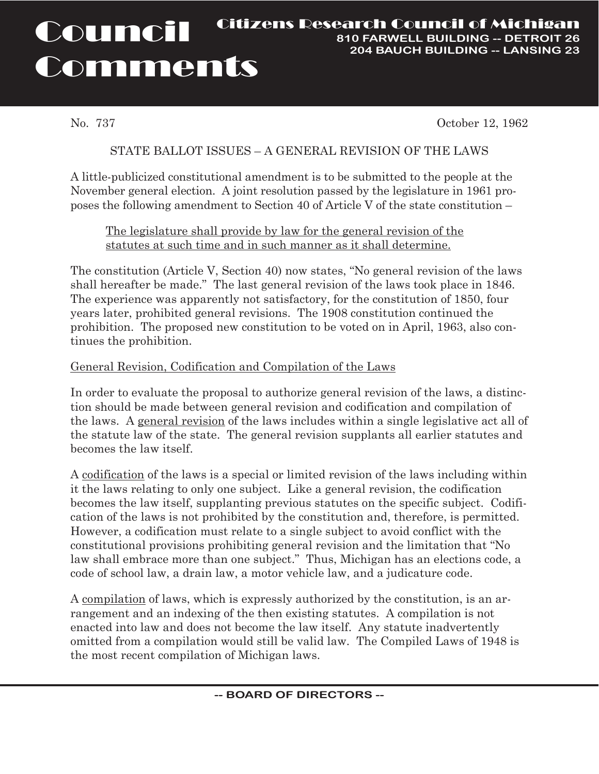#### Council **Comments** Citizens Research Council of Michigan **810 FARWELL BUILDING -- DETROIT 26 204 BAUCH BUILDING -- LANSING 23**

No. 737 October 12, 1962

# STATE BALLOT ISSUES – A GENERAL REVISION OF THE LAWS

A little-publicized constitutional amendment is to be submitted to the people at the November general election. A joint resolution passed by the legislature in 1961 proposes the following amendment to Section 40 of Article V of the state constitution –

## The legislature shall provide by law for the general revision of the statutes at such time and in such manner as it shall determine.

The constitution (Article V, Section 40) now states, "No general revision of the laws shall hereafter be made." The last general revision of the laws took place in 1846. The experience was apparently not satisfactory, for the constitution of 1850, four years later, prohibited general revisions. The 1908 constitution continued the prohibition. The proposed new constitution to be voted on in April, 1963, also continues the prohibition.

## General Revision, Codification and Compilation of the Laws

In order to evaluate the proposal to authorize general revision of the laws, a distinction should be made between general revision and codification and compilation of the laws. A general revision of the laws includes within a single legislative act all of the statute law of the state. The general revision supplants all earlier statutes and becomes the law itself.

A codification of the laws is a special or limited revision of the laws including within it the laws relating to only one subject. Like a general revision, the codification becomes the law itself, supplanting previous statutes on the specific subject. Codification of the laws is not prohibited by the constitution and, therefore, is permitted. However, a codification must relate to a single subject to avoid conflict with the constitutional provisions prohibiting general revision and the limitation that "No law shall embrace more than one subject." Thus, Michigan has an elections code, a code of school law, a drain law, a motor vehicle law, and a judicature code.

A compilation of laws, which is expressly authorized by the constitution, is an arrangement and an indexing of the then existing statutes. A compilation is not enacted into law and does not become the law itself. Any statute inadvertently omitted from a compilation would still be valid law. The Compiled Laws of 1948 is the most recent compilation of Michigan laws.